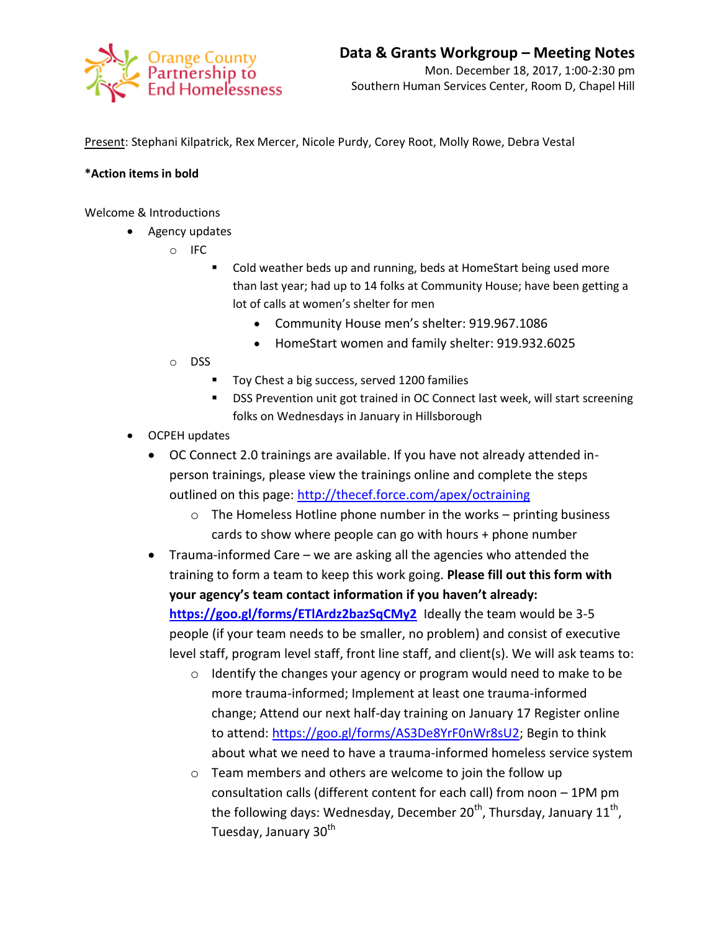

Present: Stephani Kilpatrick, Rex Mercer, Nicole Purdy, Corey Root, Molly Rowe, Debra Vestal

## **\*Action items in bold**

Welcome & Introductions

- Agency updates
	- o IFC
		- Cold weather beds up and running, beds at HomeStart being used more than last year; had up to 14 folks at Community House; have been getting a lot of calls at women's shelter for men
			- Community House men's shelter: 919.967.1086
			- HomeStart women and family shelter: 919.932.6025
	- o DSS
		- **Toy Chest a big success, served 1200 families**
		- DSS Prevention unit got trained in OC Connect last week, will start screening folks on Wednesdays in January in Hillsborough
- OCPEH updates
	- OC Connect 2.0 trainings are available. If you have not already attended inperson trainings, please view the trainings online and complete the steps outlined on this page:<http://thecef.force.com/apex/octraining>
		- o The Homeless Hotline phone number in the works printing business cards to show where people can go with hours + phone number
	- Trauma-informed Care we are asking all the agencies who attended the training to form a team to keep this work going. **Please fill out this form with your agency's team contact information if you haven't already:**  <https://goo.gl/forms/ETlArdz2bazSqCMy2> Ideally the team would be 3-5 people (if your team needs to be smaller, no problem) and consist of executive level staff, program level staff, front line staff, and client(s). We will ask teams to:
		- o Identify the changes your agency or program would need to make to be more trauma-informed; Implement at least one trauma-informed change; Attend our next half-day training on January 17 Register online to attend: [https://goo.gl/forms/AS3De8YrF0nWr8sU2;](https://goo.gl/forms/AS3De8YrF0nWr8sU2) Begin to think about what we need to have a trauma-informed homeless service system
		- o Team members and others are welcome to join the follow up consultation calls (different content for each call) from noon – 1PM pm the following days: Wednesday, December 20<sup>th</sup>, Thursday, January 11<sup>th</sup>, Tuesday, January 30<sup>th</sup>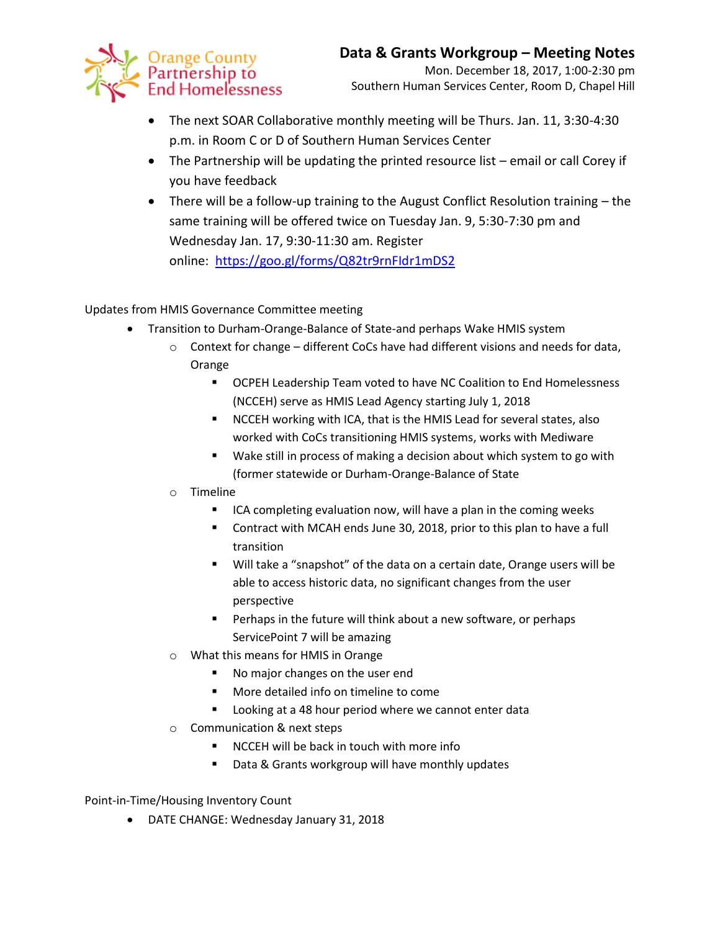

- The next SOAR Collaborative monthly meeting will be Thurs. Jan. 11, 3:30-4:30 p.m. in Room C or D of Southern Human Services Center
- The Partnership will be updating the printed resource list email or call Corey if you have feedback
- There will be a follow-up training to the August Conflict Resolution training the same training will be offered twice on Tuesday Jan. 9, 5:30-7:30 pm and Wednesday Jan. 17, 9:30-11:30 am. Register online: <https://goo.gl/forms/Q82tr9rnFIdr1mDS2>

Updates from HMIS Governance Committee meeting

- Transition to Durham-Orange-Balance of State-and perhaps Wake HMIS system
	- $\circ$  Context for change different CoCs have had different visions and needs for data, Orange
		- OCPEH Leadership Team voted to have NC Coalition to End Homelessness (NCCEH) serve as HMIS Lead Agency starting July 1, 2018
		- **NCCEH working with ICA, that is the HMIS Lead for several states, also** worked with CoCs transitioning HMIS systems, works with Mediware
		- Wake still in process of making a decision about which system to go with (former statewide or Durham-Orange-Balance of State

## o Timeline

- **ICA completing evaluation now, will have a plan in the coming weeks**
- Contract with MCAH ends June 30, 2018, prior to this plan to have a full transition
- Will take a "snapshot" of the data on a certain date, Orange users will be able to access historic data, no significant changes from the user perspective
- Perhaps in the future will think about a new software, or perhaps ServicePoint 7 will be amazing
- o What this means for HMIS in Orange
	- No major changes on the user end
	- **More detailed info on timeline to come**
	- **Looking at a 48 hour period where we cannot enter data**
- o Communication & next steps
	- **NCCEH will be back in touch with more info**
	- Data & Grants workgroup will have monthly updates

Point-in-Time/Housing Inventory Count

DATE CHANGE: Wednesday January 31, 2018